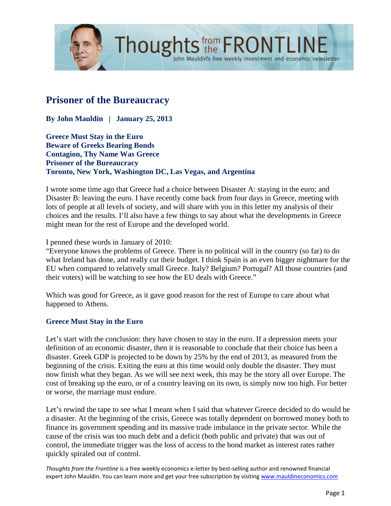

# **Prisoner of the Bureaucracy**

**By John Mauldin | January 25, 2013**

**Greece Must Stay in the Euro Beware of Greeks Bearing Bonds Contagion, Thy Name Was Greece Prisoner of the Bureaucracy Toronto, New York, Washington DC, Las Vegas, and Argentina**

I wrote some time ago that Greece had a choice between Disaster A: staying in the euro; and Disaster B: leaving the euro. I have recently come back from four days in Greece, meeting with lots of people at all levels of society, and will share with you in this letter my analysis of their choices and the results. I'll also have a few things to say about what the developments in Greece might mean for the rest of Europe and the developed world.

John Mauldin's free weekly investment and economic newsletter

#### I penned these words in January of 2010:

"Everyone knows the problems of Greece. There is no political will in the country (so far) to do what Ireland has done, and really cut their budget. I think Spain is an even bigger nightmare for the EU when compared to relatively small Greece. Italy? Belgium? Portugal? All those countries (and their voters) will be watching to see how the EU deals with Greece."

Which was good for Greece, as it gave good reason for the rest of Europe to care about what happened to Athens.

#### **Greece Must Stay in the Euro**

Let's start with the conclusion: they have chosen to stay in the euro. If a depression meets your definition of an economic disaster, then it is reasonable to conclude that their choice has been a disaster. Greek GDP is projected to be down by 25% by the end of 2013, as measured from the beginning of the crisis. Exiting the euro at this time would only double the disaster. They must now finish what they began. As we will see next week, this may be the story all over Europe. The cost of breaking up the euro, or of a country leaving on its own, is simply now too high. For better or worse, the marriage must endure.

Let's rewind the tape to see what I meant when I said that whatever Greece decided to do would be a disaster. At the beginning of the crisis, Greece was totally dependent on borrowed money both to finance its government spending and its massive trade imbalance in the private sector. While the cause of the crisis was too much debt and a deficit (both public and private) that was out of control, the immediate trigger was the loss of access to the bond market as interest rates rather quickly spiraled out of control.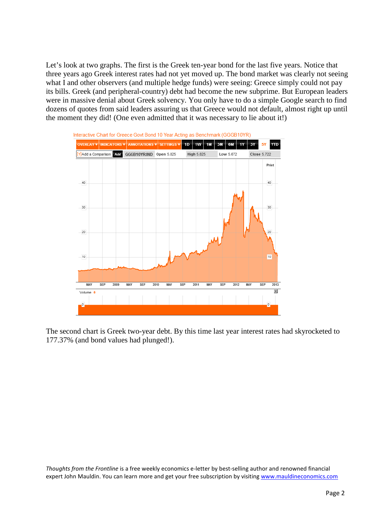Let's look at two graphs. The first is the Greek ten-year bond for the last five years. Notice that three years ago Greek interest rates had not yet moved up. The bond market was clearly not seeing what I and other observers (and multiple hedge funds) were seeing: Greece simply could not pay its bills. Greek (and peripheral-country) debt had become the new subprime. But European leaders were in massive denial about Greek solvency. You only have to do a simple Google search to find dozens of quotes from said leaders assuring us that Greece would not default, almost right up until the moment they did! (One even admitted that it was necessary to lie about it!)



The second chart is Greek two-year debt. By this time last year interest rates had skyrocketed to 177.37% (and bond values had plunged!).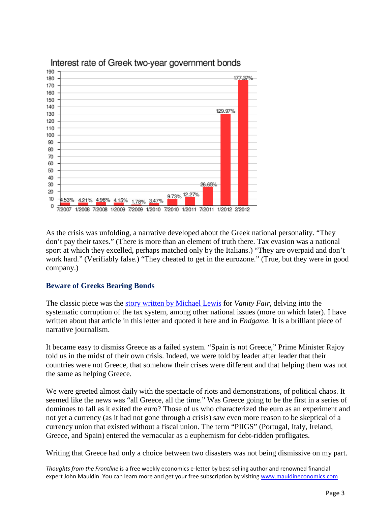

As the crisis was unfolding, a narrative developed about the Greek national personality. "They don't pay their taxes." (There is more than an element of truth there. Tax evasion was a national sport at which they excelled, perhaps matched only by the Italians.) "They are overpaid and don't work hard." (Verifiably false.) "They cheated to get in the eurozone." (True, but they were in good company.)

## **Beware of Greeks Bearing Bonds**

The classic piece was the [story written by Michael Lewis](http://www.vanityfair.com/business/features/2010/10/greeks-bearing-bonds-201010) for *Vanity Fair,* delving into the systematic corruption of the tax system, among other national issues (more on which later). I have written about that article in this letter and quoted it here and in *Endgame.* It is a brilliant piece of narrative journalism.

It became easy to dismiss Greece as a failed system. "Spain is not Greece," Prime Minister Rajoy told us in the midst of their own crisis. Indeed, we were told by leader after leader that their countries were not Greece, that somehow their crises were different and that helping them was not the same as helping Greece.

We were greeted almost daily with the spectacle of riots and demonstrations, of political chaos. It seemed like the news was "all Greece, all the time." Was Greece going to be the first in a series of dominoes to fall as it exited the euro? Those of us who characterized the euro as an experiment and not yet a currency (as it had not gone through a crisis) saw even more reason to be skeptical of a currency union that existed without a fiscal union. The term "PIIGS" (Portugal, Italy, Ireland, Greece, and Spain) entered the vernacular as a euphemism for debt-ridden profligates.

Writing that Greece had only a choice between two disasters was not being dismissive on my part.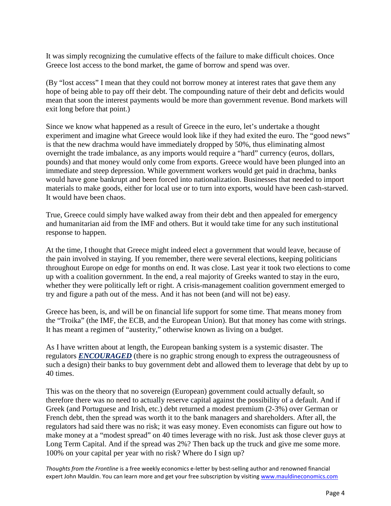It was simply recognizing the cumulative effects of the failure to make difficult choices. Once Greece lost access to the bond market, the game of borrow and spend was over.

(By "lost access" I mean that they could not borrow money at interest rates that gave them any hope of being able to pay off their debt. The compounding nature of their debt and deficits would mean that soon the interest payments would be more than government revenue. Bond markets will exit long before that point.)

Since we know what happened as a result of Greece in the euro, let's undertake a thought experiment and imagine what Greece would look like if they had exited the euro. The "good news" is that the new drachma would have immediately dropped by 50%, thus eliminating almost overnight the trade imbalance, as any imports would require a "hard" currency (euros, dollars, pounds) and that money would only come from exports. Greece would have been plunged into an immediate and steep depression. While government workers would get paid in drachma, banks would have gone bankrupt and been forced into nationalization. Businesses that needed to import materials to make goods, either for local use or to turn into exports, would have been cash-starved. It would have been chaos.

True, Greece could simply have walked away from their debt and then appealed for emergency and humanitarian aid from the IMF and others. But it would take time for any such institutional response to happen.

At the time, I thought that Greece might indeed elect a government that would leave, because of the pain involved in staying. If you remember, there were several elections, keeping politicians throughout Europe on edge for months on end. It was close. Last year it took two elections to come up with a coalition government. In the end, a real majority of Greeks wanted to stay in the euro, whether they were politically left or right. A crisis-management coalition government emerged to try and figure a path out of the mess. And it has not been (and will not be) easy.

Greece has been, is, and will be on financial life support for some time. That means money from the "Troika" (the IMF, the ECB, and the European Union). But that money has come with strings. It has meant a regimen of "austerity," otherwise known as living on a budget.

As I have written about at length, the European banking system is a systemic disaster. The regulators *ENCOURAGED* (there is no graphic strong enough to express the outrageousness of such a design) their banks to buy government debt and allowed them to leverage that debt by up to 40 times.

This was on the theory that no sovereign (European) government could actually default, so therefore there was no need to actually reserve capital against the possibility of a default. And if Greek (and Portuguese and Irish, etc.) debt returned a modest premium (2-3%) over German or French debt, then the spread was worth it to the bank managers and shareholders. After all, the regulators had said there was no risk; it was easy money. Even economists can figure out how to make money at a "modest spread" on 40 times leverage with no risk. Just ask those clever guys at Long Term Capital. And if the spread was 2%? Then back up the truck and give me some more. 100% on your capital per year with no risk? Where do I sign up?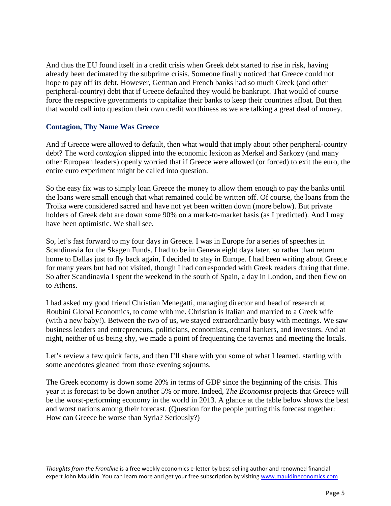And thus the EU found itself in a credit crisis when Greek debt started to rise in risk, having already been decimated by the subprime crisis. Someone finally noticed that Greece could not hope to pay off its debt. However, German and French banks had so much Greek (and other peripheral-country) debt that if Greece defaulted they would be bankrupt. That would of course force the respective governments to capitalize their banks to keep their countries afloat. But then that would call into question their own credit worthiness as we are talking a great deal of money.

#### **Contagion, Thy Name Was Greece**

And if Greece were allowed to default, then what would that imply about other peripheral-country debt? The word *contagion* slipped into the economic lexicon as Merkel and Sarkozy (and many other European leaders) openly worried that if Greece were allowed (or forced) to exit the euro, the entire euro experiment might be called into question.

So the easy fix was to simply loan Greece the money to allow them enough to pay the banks until the loans were small enough that what remained could be written off. Of course, the loans from the Troika were considered sacred and have not yet been written down (more below). But private holders of Greek debt are down some 90% on a mark-to-market basis (as I predicted). And I may have been optimistic. We shall see.

So, let's fast forward to my four days in Greece. I was in Europe for a series of speeches in Scandinavia for the Skagen Funds. I had to be in Geneva eight days later, so rather than return home to Dallas just to fly back again, I decided to stay in Europe. I had been writing about Greece for many years but had not visited, though I had corresponded with Greek readers during that time. So after Scandinavia I spent the weekend in the south of Spain, a day in London, and then flew on to Athens.

I had asked my good friend Christian Menegatti, managing director and head of research at Roubini Global Economics, to come with me. Christian is Italian and married to a Greek wife (with a new baby!). Between the two of us, we stayed extraordinarily busy with meetings. We saw business leaders and entrepreneurs, politicians, economists, central bankers, and investors. And at night, neither of us being shy, we made a point of frequenting the tavernas and meeting the locals.

Let's review a few quick facts, and then I'll share with you some of what I learned, starting with some anecdotes gleaned from those evening sojourns.

The Greek economy is down some 20% in terms of GDP since the beginning of the crisis. This year it is forecast to be down another 5% or more. Indeed, *The Economist* projects that Greece will be the worst-performing economy in the world in 2013. A glance at the table below shows the best and worst nations among their forecast. (Question for the people putting this forecast together: How can Greece be worse than Syria? Seriously?)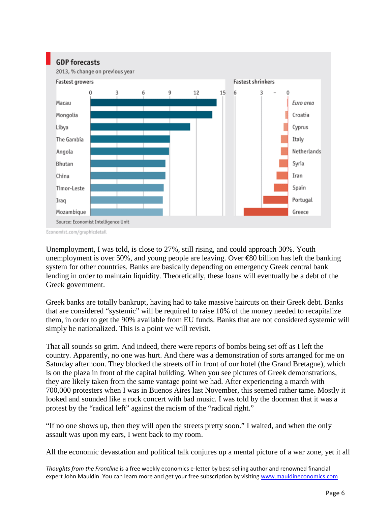

Economist.com/graphicdetail

Unemployment, I was told, is close to 27%, still rising, and could approach 30%. Youth unemployment is over 50%, and young people are leaving. Over €80 billion has left the banking system for other countries. Banks are basically depending on emergency Greek central bank lending in order to maintain liquidity. Theoretically, these loans will eventually be a debt of the Greek government.

Greek banks are totally bankrupt, having had to take massive haircuts on their Greek debt. Banks that are considered "systemic" will be required to raise 10% of the money needed to recapitalize them, in order to get the 90% available from EU funds. Banks that are not considered systemic will simply be nationalized. This is a point we will revisit.

That all sounds so grim. And indeed, there were reports of bombs being set off as I left the country. Apparently, no one was hurt. And there was a demonstration of sorts arranged for me on Saturday afternoon. They blocked the streets off in front of our hotel (the Grand Bretagne), which is on the plaza in front of the capital building. When you see pictures of Greek demonstrations, they are likely taken from the same vantage point we had. After experiencing a march with 700,000 protesters when I was in Buenos Aires last November, this seemed rather tame. Mostly it looked and sounded like a rock concert with bad music. I was told by the doorman that it was a protest by the "radical left" against the racism of the "radical right."

"If no one shows up, then they will open the streets pretty soon." I waited, and when the only assault was upon my ears, I went back to my room.

All the economic devastation and political talk conjures up a mental picture of a war zone, yet it all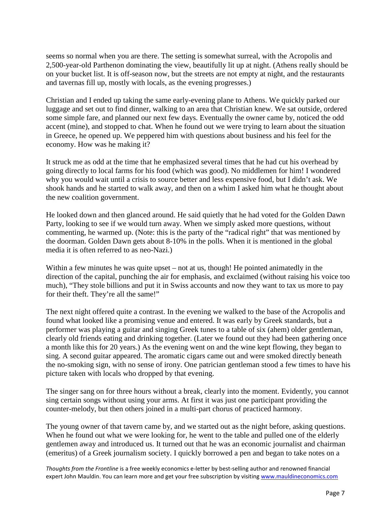seems so normal when you are there. The setting is somewhat surreal, with the Acropolis and 2,500-year-old Parthenon dominating the view, beautifully lit up at night. (Athens really should be on your bucket list. It is off-season now, but the streets are not empty at night, and the restaurants and tavernas fill up, mostly with locals, as the evening progresses.)

Christian and I ended up taking the same early-evening plane to Athens. We quickly parked our luggage and set out to find dinner, walking to an area that Christian knew. We sat outside, ordered some simple fare, and planned our next few days. Eventually the owner came by, noticed the odd accent (mine), and stopped to chat. When he found out we were trying to learn about the situation in Greece, he opened up. We peppered him with questions about business and his feel for the economy. How was he making it?

It struck me as odd at the time that he emphasized several times that he had cut his overhead by going directly to local farms for his food (which was good). No middlemen for him! I wondered why you would wait until a crisis to source better and less expensive food, but I didn't ask. We shook hands and he started to walk away, and then on a whim I asked him what he thought about the new coalition government.

He looked down and then glanced around. He said quietly that he had voted for the Golden Dawn Party, looking to see if we would turn away. When we simply asked more questions, without commenting, he warmed up. (Note: this is the party of the "radical right" that was mentioned by the doorman. Golden Dawn gets about 8-10% in the polls. When it is mentioned in the global media it is often referred to as neo-Nazi.)

Within a few minutes he was quite upset – not at us, though! He pointed animatedly in the direction of the capital, punching the air for emphasis, and exclaimed (without raising his voice too much), "They stole billions and put it in Swiss accounts and now they want to tax us more to pay for their theft. They're all the same!"

The next night offered quite a contrast. In the evening we walked to the base of the Acropolis and found what looked like a promising venue and entered. It was early by Greek standards, but a performer was playing a guitar and singing Greek tunes to a table of six (ahem) older gentleman, clearly old friends eating and drinking together. (Later we found out they had been gathering once a month like this for 20 years.) As the evening went on and the wine kept flowing, they began to sing. A second guitar appeared. The aromatic cigars came out and were smoked directly beneath the no-smoking sign, with no sense of irony. One patrician gentleman stood a few times to have his picture taken with locals who dropped by that evening.

The singer sang on for three hours without a break, clearly into the moment. Evidently, you cannot sing certain songs without using your arms. At first it was just one participant providing the counter-melody, but then others joined in a multi-part chorus of practiced harmony.

The young owner of that tavern came by, and we started out as the night before, asking questions. When he found out what we were looking for, he went to the table and pulled one of the elderly gentlemen away and introduced us. It turned out that he was an economic journalist and chairman (emeritus) of a Greek journalism society. I quickly borrowed a pen and began to take notes on a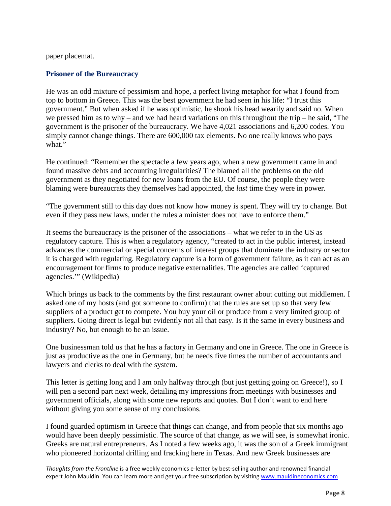paper placemat.

#### **Prisoner of the Bureaucracy**

He was an odd mixture of pessimism and hope, a perfect living metaphor for what I found from top to bottom in Greece. This was the best government he had seen in his life: "I trust this government." But when asked if he was optimistic, he shook his head wearily and said no. When we pressed him as to why – and we had heard variations on this throughout the trip – he said, "The government is the prisoner of the bureaucracy. We have 4,021 associations and 6,200 codes. You simply cannot change things. There are 600,000 tax elements. No one really knows who pays what."

He continued: "Remember the spectacle a few years ago, when a new government came in and found massive debts and accounting irregularities? The blamed all the problems on the old government as they negotiated for new loans from the EU. Of course, the people they were blaming were bureaucrats they themselves had appointed, the *last* time they were in power.

"The government still to this day does not know how money is spent. They will try to change. But even if they pass new laws, under the rules a minister does not have to enforce them."

It seems the bureaucracy is the prisoner of the associations – what we refer to in the US as regulatory capture. This is when a regulatory agency, "created to act in the public interest, instead advances the commercial or special concerns of interest groups that dominate the industry or sector it is charged with regulating. Regulatory capture is a form of government failure, as it can act as an encouragement for firms to produce negative externalities. The agencies are called 'captured agencies.'" (Wikipedia)

Which brings us back to the comments by the first restaurant owner about cutting out middlemen. I asked one of my hosts (and got someone to confirm) that the rules are set up so that very few suppliers of a product get to compete. You buy your oil or produce from a very limited group of suppliers. Going direct is legal but evidently not all that easy. Is it the same in every business and industry? No, but enough to be an issue.

One businessman told us that he has a factory in Germany and one in Greece. The one in Greece is just as productive as the one in Germany, but he needs five times the number of accountants and lawyers and clerks to deal with the system.

This letter is getting long and I am only halfway through (but just getting going on Greece!), so I will pen a second part next week, detailing my impressions from meetings with businesses and government officials, along with some new reports and quotes. But I don't want to end here without giving you some sense of my conclusions.

I found guarded optimism in Greece that things can change, and from people that six months ago would have been deeply pessimistic. The source of that change, as we will see, is somewhat ironic. Greeks are natural entrepreneurs. As I noted a few weeks ago, it was the son of a Greek immigrant who pioneered horizontal drilling and fracking here in Texas. And new Greek businesses are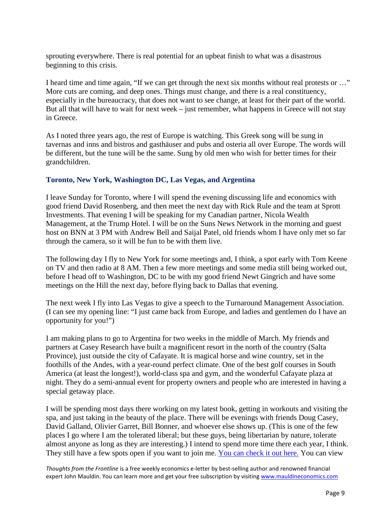sprouting everywhere. There is real potential for an upbeat finish to what was a disastrous beginning to this crisis.

I heard time and time again, "If we can get through the next six months without real protests or …" More cuts are coming, and deep ones. Things must change, and there is a real constituency, especially in the bureaucracy, that does not want to see change, at least for their part of the world. But all that will have to wait for next week – just remember, what happens in Greece will not stay in Greece.

As I noted three years ago, the rest of Europe is watching. This Greek song will be sung in tavernas and inns and bistros and gasthäuser and pubs and osteria all over Europe. The words will be different, but the tune will be the same. Sung by old men who wish for better times for their grandchildren.

### **Toronto, New York, Washington DC, Las Vegas, and Argentina**

I leave Sunday for Toronto, where I will spend the evening discussing life and economics with good friend David Rosenberg, and then meet the next day with Rick Rule and the team at Sprott Investments. That evening I will be speaking for my Canadian partner, Nicola Wealth Management, at the Trump Hotel. I will be on the Suns News Network in the morning and guest host on BNN at 3 PM with Andrew Bell and Saijal Patel, old friends whom I have only met so far through the camera, so it will be fun to be with them live.

The following day I fly to New York for some meetings and, I think, a spot early with Tom Keene on TV and then radio at 8 AM. Then a few more meetings and some media still being worked out, before I head off to Washington, DC to be with my good friend Newt Gingrich and have some meetings on the Hill the next day, before flying back to Dallas that evening.

The next week I fly into Las Vegas to give a speech to the Turnaround Management Association. (I can see my opening line: "I just came back from Europe, and ladies and gentlemen do I have an opportunity for you!")

I am making plans to go to Argentina for two weeks in the middle of March. My friends and partners at Casey Research have built a magnificent resort in the north of the country (Salta Province), just outside the city of Cafayate. It is magical horse and wine country, set in the foothills of the Andes, with a year-round perfect climate. One of the best golf courses in South America (at least the longest!), world-class spa and gym, and the wonderful Cafayate plaza at night. They do a semi-annual event for property owners and people who are interested in having a special getaway place.

I will be spending most days there working on my latest book, getting in workouts and visiting the spa, and just taking in the beauty of the place. There will be evenings with friends Doug Casey, David Galland, Olivier Garret, Bill Bonner, and whoever else shows up. (This is one of the few places I go where I am the tolerated liberal; but these guys, being libertarian by nature, tolerate almost anyone as long as they are interesting.) I intend to spend more time there each year, I think. They still have a few spots open if you want to join me. [You can check it out here.](http://www.laestanciadecafayate.com/?Adv=7e8ac) You can view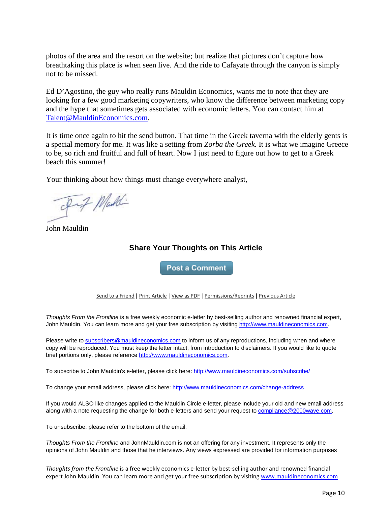photos of the area and the resort on the website; but realize that pictures don't capture how breathtaking this place is when seen live. And the ride to Cafayate through the canyon is simply not to be missed.

Ed D'Agostino, the guy who really runs Mauldin Economics, wants me to note that they are looking for a few good marketing copywriters, who know the difference between marketing copy and the hype that sometimes gets associated with economic letters. You can contact him at [Talent@MauldinEconomics.com.](mailto:Talent@MauldinEconomics.com)

It is time once again to hit the send button. That time in the Greek taverna with the elderly gents is a special memory for me. It was like a setting from *Zorba the Greek.* It is what we imagine Greece to be, so rich and fruitful and full of heart. Now I just need to figure out how to get to a Greek beach this summer!

Your thinking about how things must change everywhere analyst,

Fif Mad

John Mauldin

## **Share Your Thoughts on This Article**

**Post a Comment** 

[Send to a Friend](http://ce.frontlinethoughts.com/CT00017301MTUzNTQ2.html) | [Print Article](http://ce.frontlinethoughts.com/CT00017301MTUzNTQ2.html) | [View as PDF](http://ce.frontlinethoughts.com/CT00017302MTUzNTQ2.html) | [Permissions/Reprints](http://www.frontlinethoughts.com/contact) | [Previous Article](http://ce.frontlinethoughts.com/CT00017305MTUzNTQ2.html)

*Thoughts From the Frontline* is a free weekly economic e-letter by best-selling author and renowned financial expert, John Mauldin. You can learn more and get your free subscription by visitin[g http://www.mauldineconomics.com.](http://www.mauldineconomics.com/)

Please write t[o subscribers@mauldineconomics.com](mailto:subscribers@mauldineconomics.com) to inform us of any reproductions, including when and where copy will be reproduced. You must keep the letter intact, from introduction to disclaimers. If you would like to quote brief portions only, please referenc[e http://www.mauldineconomics.com.](http://www.mauldineconomics.com/)

To subscribe to John Mauldin's e-letter, please click here:<http://www.mauldineconomics.com/subscribe/>

To change your email address, please click here: <http://www.mauldineconomics.com/change-address>

If you would ALSO like changes applied to the Mauldin Circle e-letter, please include your old and new email address along with a note requesting the change for both e-letters and send your request t[o compliance@2000wave.com.](mailto:compliance@2000wave.com)

To unsubscribe, please refer to the bottom of the email.

*Thoughts From the Frontline* and JohnMauldin.com is not an offering for any investment. It represents only the opinions of John Mauldin and those that he interviews. Any views expressed are provided for information purposes

*Thoughts from the Frontline* is a free weekly economics e-letter by best-selling author and renowned financial expert John Mauldin. You can learn more and get your free subscription by visiting [www.mauldineconomics.com](http://www.mauldineconomics.com/subscribe/)